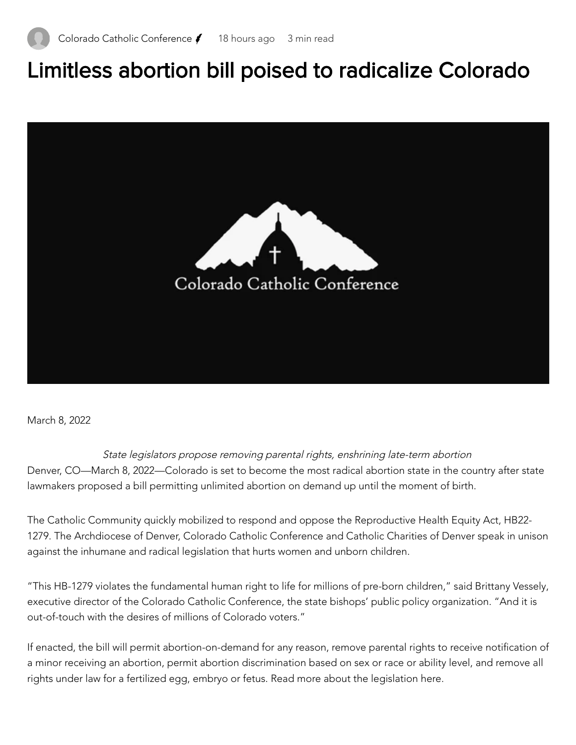## Limitless abortion bill poised to radicalize Colorado



March 8, 2022

State legislators propose removing parental rights, enshrining late-term abortion Denver, CO—March 8, 2022—Colorado is set to become the most radical abortion state in the country after state lawmakers proposed a bill permitting unlimited abortion on demand up until the moment of birth.

The Catholic Community quickly mobilized to respond and oppose the [Reproductive](https://nam02.safelinks.protection.outlook.com/?url=https%3A%2F%2Fwww.votervoice.net%2FBroadcastLinks%2FcVSOtWFdeUqc3XRZLynotQ&data=04%7C01%7Cjdeyoung%40dioceseofpueblo.org%7C3b8caf5b33c94ef11bd108da013d368d%7C87643b24e0274cf9a662f3b37194e9a8%7C1%7C0%7C637823660421739621%7CUnknown%7CTWFpbGZsb3d8eyJWIjoiMC4wLjAwMDAiLCJQIjoiV2luMzIiLCJBTiI6Ik1haWwiLCJXVCI6Mn0%3D%7C2000&sdata=ywcpTU69VVDheJGMcRxye6I7qJnFqYLcM3QCMLd0Z7Y%3D&reserved=0) Health Equity Act, HB22- 1279. The Archdiocese of Denver, Colorado Catholic Conference and Catholic Charities of Denver speak in unison against the inhumane and radical legislation that hurts women and unborn children.

"This HB-1279 violates the fundamental human right to life for millions of pre-born children," said Brittany Vessely, executive director of the Colorado Catholic [Conference,](https://nam02.safelinks.protection.outlook.com/?url=https%3A%2F%2Fwww.votervoice.net%2FBroadcastLinks%2FcVSOtWFdeUqc3XRZLynotQ&data=04%7C01%7Cjdeyoung%40dioceseofpueblo.org%7C3b8caf5b33c94ef11bd108da013d368d%7C87643b24e0274cf9a662f3b37194e9a8%7C1%7C0%7C637823660421739621%7CUnknown%7CTWFpbGZsb3d8eyJWIjoiMC4wLjAwMDAiLCJQIjoiV2luMzIiLCJBTiI6Ik1haWwiLCJXVCI6Mn0%3D%7C2000&sdata=ywcpTU69VVDheJGMcRxye6I7qJnFqYLcM3QCMLd0Z7Y%3D&reserved=0) the state bishops' public policy organization. "And it is out-of-touch with the desires of millions of Colorado voters."

If enacted, the bill will permit abortion-on-demand for any reason, remove parental rights to receive notification of a minor receiving an abortion, permit abortion discrimination based on sex or race or ability level, and remove all rights under law for a fertilized egg, embryo or fetus. [Read more](https://nam02.safelinks.protection.outlook.com/?url=https%3A%2F%2Fcocatholicconference.org%2Fcall-to-action-womens-health-protection-act-whpa-h-r-3755%2F&data=04%7C01%7Cjdeyoung%40dioceseofpueblo.org%7C3b8caf5b33c94ef11bd108da013d368d%7C87643b24e0274cf9a662f3b37194e9a8%7C1%7C0%7C637823660421739621%7CUnknown%7CTWFpbGZsb3d8eyJWIjoiMC4wLjAwMDAiLCJQIjoiV2luMzIiLCJBTiI6Ik1haWwiLCJXVCI6Mn0%3D%7C2000&sdata=hkBiMa7mcD0HuUg4fBu0zOTZrjuQW%2FL43KcYBpyOEXY%3D&reserved=0) about the legislation here.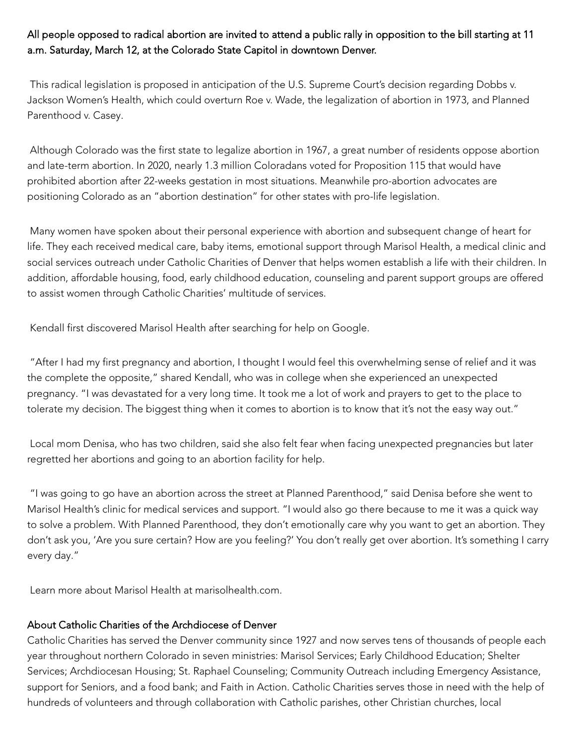All people opposed to radical abortion are invited to attend a public rally in opposition to the bill starting at 11 a.m. Saturday, March 12, at the Colorado State Capitol in downtown Denver.

This radical legislation is proposed in anticipation of the U.S. Supreme Court's decision regarding Dobbs v. Jackson Women's Health, which could overturn Roe v. Wade, the legalization of abortion in 1973, and Planned Parenthood v. Casey.

Although Colorado was the first state to legalize abortion in 1967, a great number of residents oppose abortion and late-term abortion. In 2020, nearly 1.3 million Coloradans voted for Proposition 115 that would have prohibited abortion after 22-weeks gestation in most situations. Meanwhile pro-abortion advocates are positioning Colorado as an "abortion destination" for other states with pro-life legislation.

Many women have spoken about their personal experience with abortion and subsequent change of heart for life. They each received medical care, baby items, emotional support through Marisol Health, a medical clinic and social services outreach under Catholic Charities of Denver that helps women establish a life with their children. In addition, affordable housing, food, early childhood education, counseling and parent support groups are offered to assist women through Catholic Charities' multitude of services.

Kendall first discovered Marisol Health after searching for help on Google.

"After I had my first pregnancy and abortion, I thought I would feel this overwhelming sense of relief and it was the complete the opposite," shared Kendall, who was in college when she experienced an unexpected pregnancy. "I was devastated for a very long time. It took me a lot of work and prayers to get to the place to tolerate my decision. The biggest thing when it comes to abortion is to know that it's not the easy way out."

Local mom Denisa, who has two children, said she also felt fear when facing unexpected pregnancies but later regretted her abortions and going to an abortion facility for help.

"I was going to go have an abortion across the street at Planned Parenthood," said Denisa before she went to Marisol Health's clinic for medical services and support. "I would also go there because to me it was a quick way to solve a problem. With Planned Parenthood, they don't emotionally care why you want to get an abortion. They don't ask you, 'Are you sure certain? How are you feeling?' You don't really get over abortion. It's something I carry every day."

Learn more about Marisol Health at [marisolhealth.com.](https://nam02.safelinks.protection.outlook.com/?url=https%3A%2F%2Fmarisolhealth.com%2F&data=04%7C01%7Cjdeyoung%40dioceseofpueblo.org%7C3b8caf5b33c94ef11bd108da013d368d%7C87643b24e0274cf9a662f3b37194e9a8%7C1%7C0%7C637823660421739621%7CUnknown%7CTWFpbGZsb3d8eyJWIjoiMC4wLjAwMDAiLCJQIjoiV2luMzIiLCJBTiI6Ik1haWwiLCJXVCI6Mn0%3D%7C2000&sdata=8tjw6tLJut2jKQW%2FjdBHfJq6T3H0DyVnKidJGPki1zQ%3D&reserved=0)

## About Catholic Charities of the Archdiocese of Denver

Catholic [Charities](https://nam02.safelinks.protection.outlook.com/?url=http%3A%2F%2Fccdenver.org%2F&data=04%7C01%7Cjdeyoung%40dioceseofpueblo.org%7C3b8caf5b33c94ef11bd108da013d368d%7C87643b24e0274cf9a662f3b37194e9a8%7C1%7C0%7C637823660421739621%7CUnknown%7CTWFpbGZsb3d8eyJWIjoiMC4wLjAwMDAiLCJQIjoiV2luMzIiLCJBTiI6Ik1haWwiLCJXVCI6Mn0%3D%7C2000&sdata=zsc%2FZmD9m%2FsMKeYGiRATiIkMD6EBM8UJyTzSeJq9rgc%3D&reserved=0) has served the Denver community since 1927 and now serves tens of thousands of people each year throughout northern Colorado in seven ministries: Marisol Services; Early Childhood Education; Shelter Services; Archdiocesan Housing; St. Raphael Counseling; Community Outreach including Emergency Assistance, support for Seniors, and a food bank; and Faith in Action. Catholic Charities serves those in need with the help of hundreds of volunteers and through collaboration with Catholic parishes, other Christian churches, local